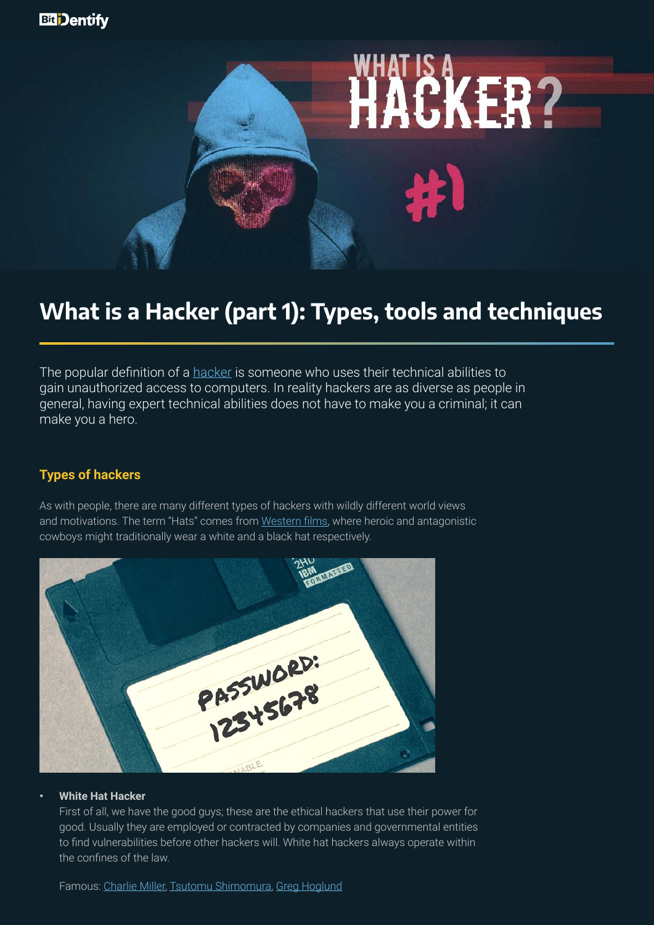

# **What is a Hacker (part 1): Types, tools and techniques**

The popular definition of a [hacker](https://en.wikipedia.org/wiki/Hacker) is someone who uses their technical abilities to gain unauthorized access to computers. In reality hackers are as diverse as people in general, having expert technical abilities does not have to make you a criminal; it can make you a hero.

# **Types of hackers**

As with people, there are many different types of hackers with wildly different world views and motivations. The term "Hats" comes from [Western films](https://en.wikipedia.org/wiki/Black_and_white_hat_symbolism_in_film), where heroic and antagonistic cowboys might traditionally wear a white and a black hat respectively.



## **• White Hat Hacker**

First of all, we have the good guys; these are the ethical hackers that use their power for good. Usually they are employed or contracted by companies and governmental entities to find vulnerabilities before other hackers will. White hat hackers always operate within the confines of the law.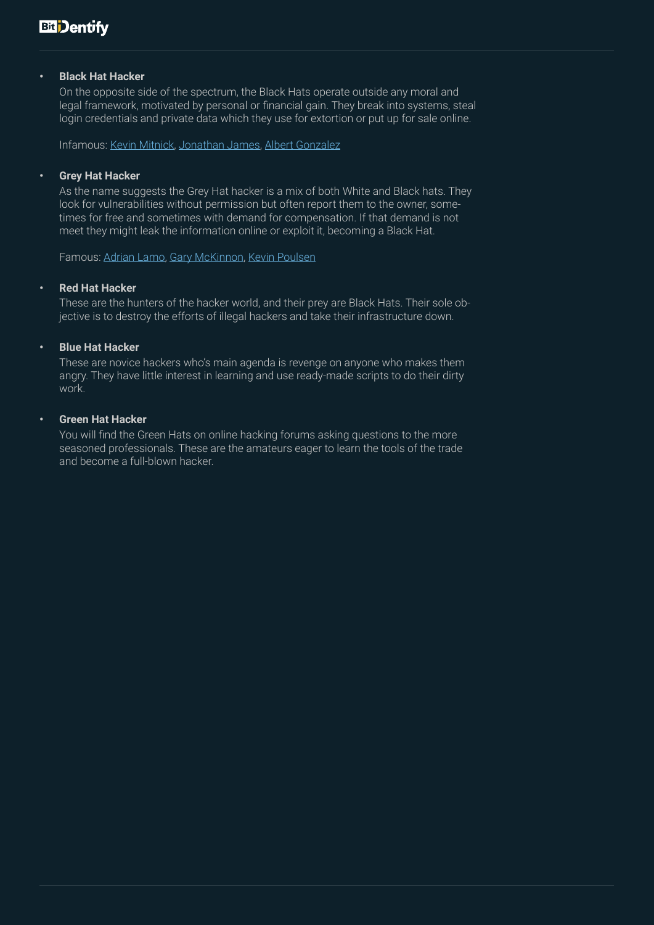# **• Black Hat Hacker**

On the opposite side of the spectrum, the Black Hats operate outside any moral and legal framework, motivated by personal or financial gain. They break into systems, steal login credentials and private data which they use for extortion or put up for sale online.

Infamous: [Kevin Mitnick,](https://en.wikipedia.org/wiki/Kevin_Mitnick) [Jonathan James,](https://en.wikipedia.org/wiki/Jonathan_James) [Albert Gonzalez](https://en.wikipedia.org/wiki/Albert_Gonzalez)

### **• Grey Hat Hacker**

As the name suggests the Grey Hat hacker is a mix of both White and Black hats. They look for vulnerabilities without permission but often report them to the owner, sometimes for free and sometimes with demand for compensation. If that demand is not meet they might leak the information online or exploit it, becoming a Black Hat.

Famous: [Adrian Lamo](https://en.wikipedia.org/wiki/Adrian_Lamo), [Gary McKinnon,](https://en.wikipedia.org/wiki/Gary_McKinnon) [Kevin Poulsen](https://en.wikipedia.org/wiki/Kevin_Poulsen)

### **• Red Hat Hacker**

These are the hunters of the hacker world, and their prey are Black Hats. Their sole objective is to destroy the efforts of illegal hackers and take their infrastructure down.

### **• Blue Hat Hacker**

These are novice hackers who's main agenda is revenge on anyone who makes them angry. They have little interest in learning and use ready-made scripts to do their dirty work.

### **• Green Hat Hacker**

You will find the Green Hats on online hacking forums asking questions to the more seasoned professionals. These are the amateurs eager to learn the tools of the trade and become a full-blown hacker.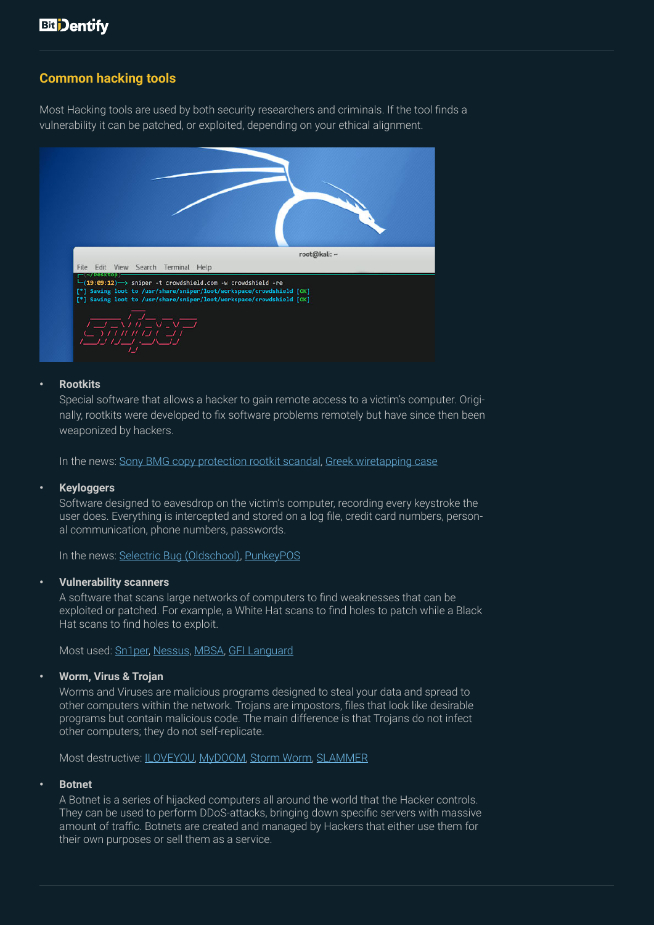# **Common hacking tools**

Most Hacking tools are used by both security researchers and criminals. If the tool finds a vulnerability it can be patched, or exploited, depending on your ethical alignment.



### **• Rootkits**

Special software that allows a hacker to gain remote access to a victim's computer. Originally, rootkits were developed to fix software problems remotely but have since then been weaponized by hackers.

In the news: [Sony BMG copy protection rootkit scandal,](https://www.networkworld.com/article/2998251/sony-bmg-rootkit-scandal-10-years-later.html) [Greek wiretapping case](https://en.wikipedia.org/wiki/Greek_wiretapping_case_2004%E2%80%9305)

### **• Keyloggers**

Software designed to eavesdrop on the victim's computer, recording every keystroke the user does. Everything is intercepted and stored on a log file, credit card numbers, personal communication, phone numbers, passwords.

In the news: [Selectric Bug \(Oldschool\)](https://www.cryptomuseum.com/covert/bugs/selectric/), [PunkeyPOS](https://www.pandasecurity.com/mediacenter/malware/punkeypos/)

### **• Vulnerability scanners**

A software that scans large networks of computers to find weaknesses that can be exploited or patched. For example, a White Hat scans to find holes to patch while a Black Hat scans to find holes to exploit.

Most used: [Sn1per](https://xerosecurity.com/wordpress/product/sn1per-professional-v6/), [Nessus](https://www.tenable.com/products/nessus), [MBSA,](https://en.wikipedia.org/wiki/Microsoft_Baseline_Security_Analyzer) [GFI Languard](https://www.gfi.com/products-and-solutions/network-security-solutions/gfi-languard)

### **• Worm, Virus & Trojan**

Worms and Viruses are malicious programs designed to steal your data and spread to other computers within the network. Trojans are impostors, files that look like desirable programs but contain malicious code. The main difference is that Trojans do not infect other computers; they do not self-replicate.

Most destructive: [ILOVEYOU](https://en.wikipedia.org/wiki/ILOVEYOU), [MyDOOM,](https://en.wikipedia.org/wiki/Mydoom) [Storm Worm,](https://en.wikipedia.org/wiki/Storm_Worm) [SLAMMER](https://en.wikipedia.org/wiki/SQL_Slammer)

### **• Botnet**

A Botnet is a series of hijacked computers all around the world that the Hacker controls. They can be used to perform DDoS-attacks, bringing down specific servers with massive amount of traffic. Botnets are created and managed by Hackers that either use them for their own purposes or sell them as a service.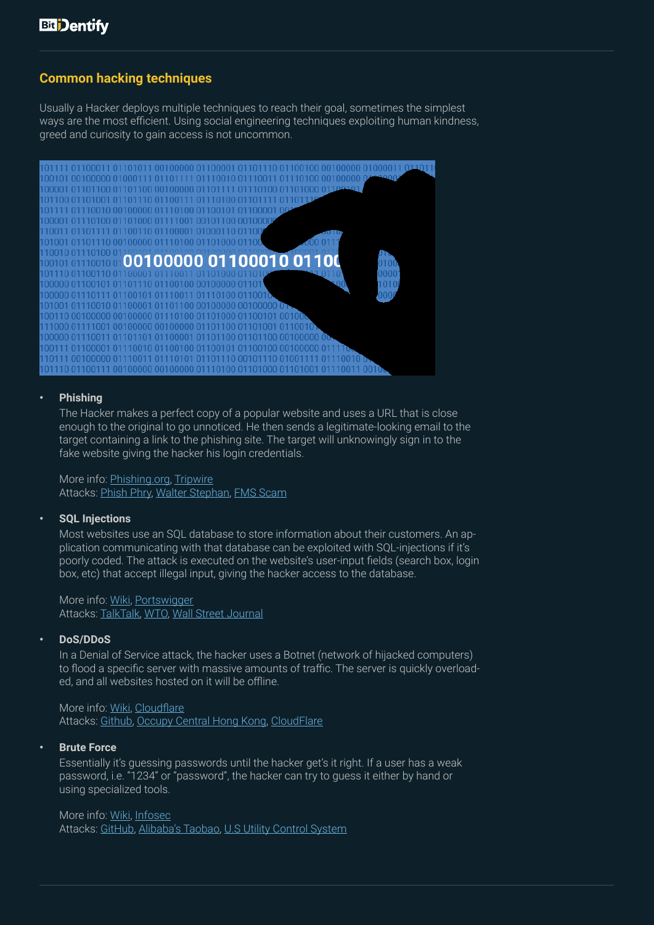# **Common hacking techniques**

Usually a Hacker deploys multiple techniques to reach their goal, sometimes the simplest ways are the most efficient. Using social engineering techniques exploiting human kindness, greed and curiosity to gain access is not uncommon.



### **• Phishing**

The Hacker makes a perfect copy of a popular website and uses a URL that is close enough to the original to go unnoticed. He then sends a legitimate-looking email to the target containing a link to the phishing site. The target will unknowingly sign in to the fake website giving the hacker his login credentials.

More info: [Phishing.org,](https://www.phishing.org/phishing-examples) [Tripwire](https://www.tripwire.com/state-of-security/security-awareness/6-common-phishing-attacks-and-how-to-protect-against-them/) Attacks: [Phish Phry,](https://www.forbes.com/sites/billsinger/2012/05/15/feds-catch-their-illegal-limit-in-operation-phish-phry/#7ed8627b6265) [Walter Stephan,](https://www.reuters.com/article/us-facc-ceo-idUSKCN0YG0ZF) [FMS Scam](https://eu.usatoday.com/story/money/2017/05/23/target-pay-185m-2013-data-breach-affected-consumers/102063932/)

### **• SQL Injections**

Most websites use an SQL database to store information about their customers. An application communicating with that database can be exploited with SQL-injections if it's poorly coded. The attack is executed on the website's user-input fields (search box, login box, etc) that accept illegal input, giving the hacker access to the database.

More info: [Wiki,](https://en.wikipedia.org/wiki/SQL_injection) [Portswigger](https://portswigger.net/web-security/sql-injection) Attacks: [TalkTalk](https://www.theregister.co.uk/2015/11/06/talktalk_claims_157000_customers_data_stolen/), [WTO](http://securityaffairs.co/wordpress/36528/hacking/anonymous-breached-wto-db.html), [Wall Street Journal](https://www.pcworld.com/article/2457240/sql-injection-flaw-in-wall-street-journal-database-led-to-breach.html)

### **• DoS/DDoS**

In a Denial of Service attack, the hacker uses a Botnet (network of hijacked computers) to flood a specific server with massive amounts of traffic. The server is quickly overloaded, and all websites hosted on it will be offline.

More info: [Wiki,](https://en.wikipedia.org/wiki/Denial-of-service_attack) [Cloudflare](https://www.cloudflare.com/learning/ddos/what-is-a-ddos-attack/) Attacks: [Github](https://thehackernews.com/2018/03/biggest-ddos-attack-github.html), [Occupy Central Hong Kong,](https://www.forbes.com/sites/parmyolson/2014/11/20/the-largest-cyber-attack-in-history-has-been-hitting-hong-kong-sites/) [CloudFlare](https://blog.cloudflare.com/technical-details-behind-a-400gbps-ntp-amplification-ddos-attack/)

### **• Brute Force**

Essentially it's guessing passwords until the hacker get's it right. If a user has a weak password, i.e. "1234" or "password", the hacker can try to guess it either by hand or using specialized tools.

### More info: [Wiki,](https://en.wikipedia.org/wiki/Brute-force_attack) [Infosec](https://resources.infosecinstitute.com/popular-tools-for-brute-force-attacks/#gref)

Attacks: [GitHub,](https://www.pcworld.com/article/2065340/github-bans-weak-passwords-after-bruteforce-attack-results-in-compromised-accounts.html) [Alibaba's Taobao,](https://www.reuters.com/article/us-alibaba-cyber/hackers-attack-20-million-accounts-on-alibabas-taobao-shopping-site-idUSKCN0VD14X) [U.S Utility Control System](https://www.greentechmedia.com/articles/read/utility-control-system-was-hacked-homeland-security-says)